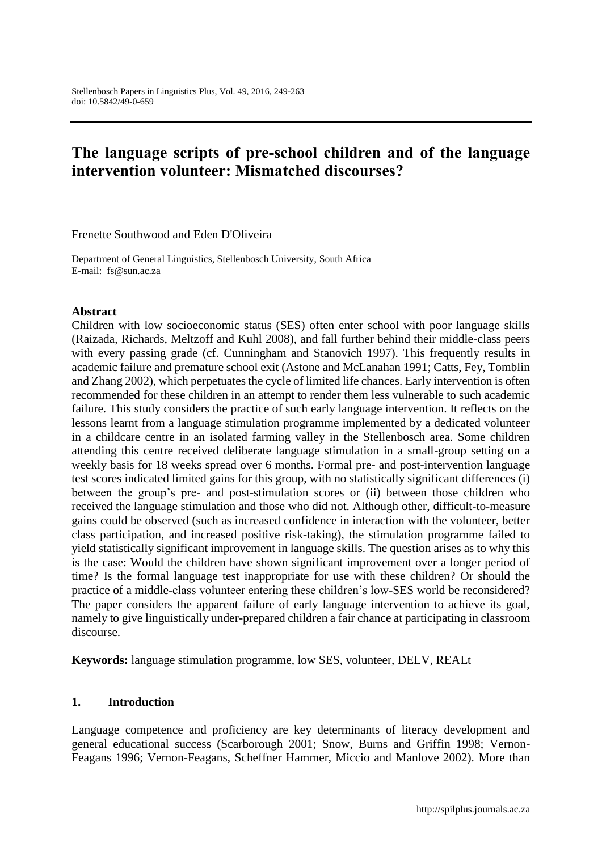# **The language scripts of pre-school children and of the language intervention volunteer: Mismatched discourses?**

Frenette Southwood and Eden D'Oliveira

Department of General Linguistics, Stellenbosch University, South Africa E-mail: fs@sun.ac.za

#### **Abstract**

Children with low socioeconomic status (SES) often enter school with poor language skills (Raizada, Richards, Meltzoff and Kuhl 2008), and fall further behind their middle-class peers with every passing grade (cf. Cunningham and Stanovich 1997). This frequently results in academic failure and premature school exit (Astone and McLanahan 1991; Catts, Fey, Tomblin and Zhang 2002), which perpetuates the cycle of limited life chances. Early intervention is often recommended for these children in an attempt to render them less vulnerable to such academic failure. This study considers the practice of such early language intervention. It reflects on the lessons learnt from a language stimulation programme implemented by a dedicated volunteer in a childcare centre in an isolated farming valley in the Stellenbosch area. Some children attending this centre received deliberate language stimulation in a small-group setting on a weekly basis for 18 weeks spread over 6 months. Formal pre- and post-intervention language test scores indicated limited gains for this group, with no statistically significant differences (i) between the group's pre- and post-stimulation scores or (ii) between those children who received the language stimulation and those who did not. Although other, difficult-to-measure gains could be observed (such as increased confidence in interaction with the volunteer, better class participation, and increased positive risk-taking), the stimulation programme failed to yield statistically significant improvement in language skills. The question arises as to why this is the case: Would the children have shown significant improvement over a longer period of time? Is the formal language test inappropriate for use with these children? Or should the practice of a middle-class volunteer entering these children's low-SES world be reconsidered? The paper considers the apparent failure of early language intervention to achieve its goal, namely to give linguistically under-prepared children a fair chance at participating in classroom discourse.

**Keywords:** language stimulation programme, low SES, volunteer, DELV, REALt

#### **1. Introduction**

Language competence and proficiency are key determinants of literacy development and general educational success (Scarborough 2001; Snow, Burns and Griffin 1998; Vernon-Feagans 1996; Vernon-Feagans, Scheffner Hammer, Miccio and Manlove 2002). More than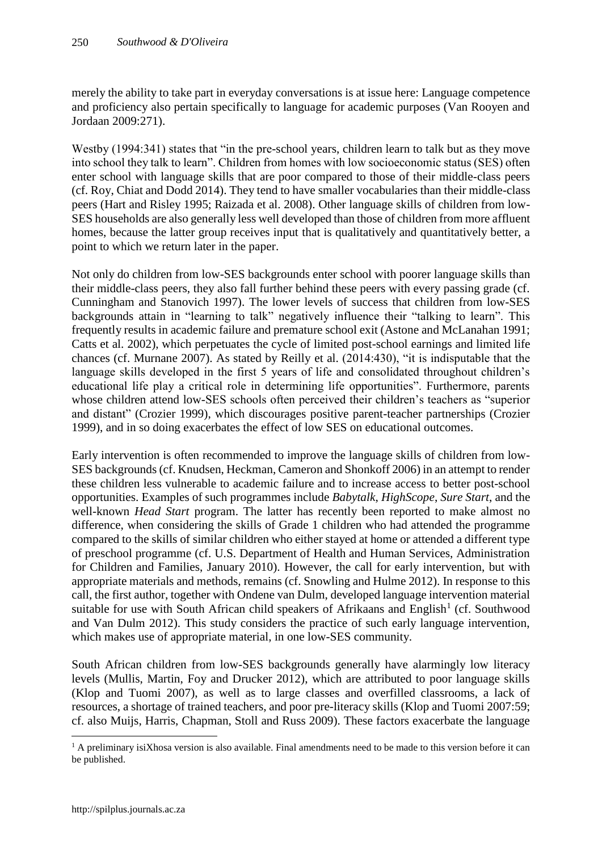merely the ability to take part in everyday conversations is at issue here: Language competence and proficiency also pertain specifically to language for academic purposes (Van Rooyen and Jordaan 2009:271).

Westby (1994:341) states that "in the pre-school years, children learn to talk but as they move into school they talk to learn". Children from homes with low socioeconomic status (SES) often enter school with language skills that are poor compared to those of their middle-class peers (cf. Roy, Chiat and Dodd 2014). They tend to have smaller vocabularies than their middle-class peers (Hart and Risley 1995; Raizada et al. 2008). Other language skills of children from low-SES households are also generally less well developed than those of children from more affluent homes, because the latter group receives input that is qualitatively and quantitatively better, a point to which we return later in the paper.

Not only do children from low-SES backgrounds enter school with poorer language skills than their middle-class peers, they also fall further behind these peers with every passing grade (cf. Cunningham and Stanovich 1997). The lower levels of success that children from low-SES backgrounds attain in "learning to talk" negatively influence their "talking to learn". This frequently results in academic failure and premature school exit (Astone and McLanahan 1991; Catts et al. 2002), which perpetuates the cycle of limited post-school earnings and limited life chances (cf. Murnane 2007). As stated by Reilly et al. (2014:430), "it is indisputable that the language skills developed in the first 5 years of life and consolidated throughout children's educational life play a critical role in determining life opportunities". Furthermore, parents whose children attend low-SES schools often perceived their children's teachers as "superior and distant" (Crozier 1999), which discourages positive parent-teacher partnerships (Crozier 1999), and in so doing exacerbates the effect of low SES on educational outcomes.

Early intervention is often recommended to improve the language skills of children from low-SES backgrounds (cf. Knudsen, Heckman, Cameron and Shonkoff 2006) in an attempt to render these children less vulnerable to academic failure and to increase access to better post-school opportunities. Examples of such programmes include *Babytalk*, *HighScope*, *Sure Start*, and the well-known *Head Start* program. The latter has recently been reported to make almost no difference, when considering the skills of Grade 1 children who had attended the programme compared to the skills of similar children who either stayed at home or attended a different type of preschool programme (cf. U.S. Department of Health and Human Services, Administration for Children and Families, January 2010). However, the call for early intervention, but with appropriate materials and methods, remains (cf. Snowling and Hulme 2012). In response to this call, the first author, together with Ondene van Dulm, developed language intervention material suitable for use with South African child speakers of Afrikaans and English<sup>1</sup> (cf. Southwood and Van Dulm 2012). This study considers the practice of such early language intervention, which makes use of appropriate material, in one low-SES community.

South African children from low-SES backgrounds generally have alarmingly low literacy levels (Mullis, Martin, Foy and Drucker 2012), which are attributed to poor language skills (Klop and Tuomi 2007), as well as to large classes and overfilled classrooms, a lack of resources, a shortage of trained teachers, and poor pre-literacy skills (Klop and Tuomi 2007:59; cf. also Muijs, Harris, Chapman, Stoll and Russ 2009). These factors exacerbate the language

 $\overline{a}$ 

<sup>&</sup>lt;sup>1</sup> A preliminary isiXhosa version is also available. Final amendments need to be made to this version before it can be published.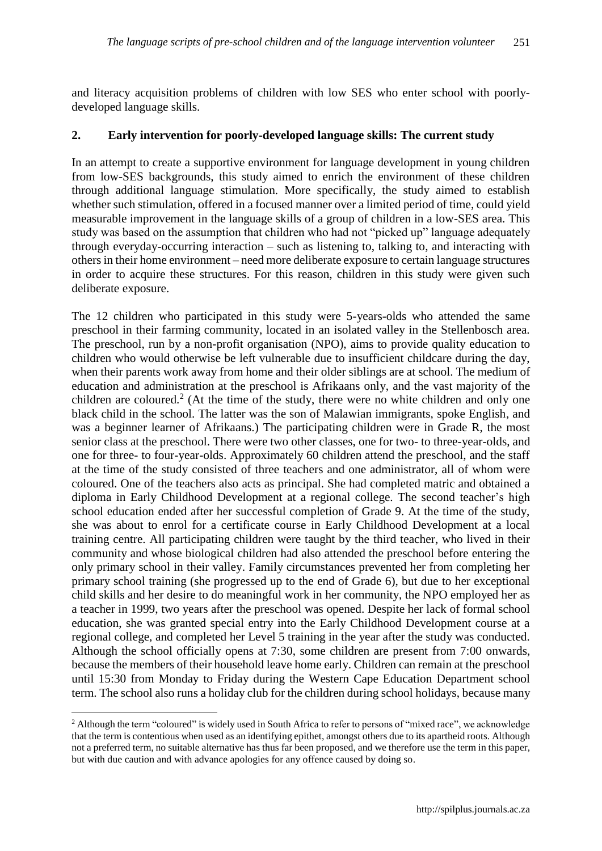and literacy acquisition problems of children with low SES who enter school with poorlydeveloped language skills.

### **2. Early intervention for poorly-developed language skills: The current study**

In an attempt to create a supportive environment for language development in young children from low-SES backgrounds, this study aimed to enrich the environment of these children through additional language stimulation. More specifically, the study aimed to establish whether such stimulation, offered in a focused manner over a limited period of time, could yield measurable improvement in the language skills of a group of children in a low-SES area. This study was based on the assumption that children who had not "picked up" language adequately through everyday-occurring interaction – such as listening to, talking to, and interacting with others in their home environment – need more deliberate exposure to certain language structures in order to acquire these structures. For this reason, children in this study were given such deliberate exposure.

The 12 children who participated in this study were 5-years-olds who attended the same preschool in their farming community, located in an isolated valley in the Stellenbosch area. The preschool, run by a non-profit organisation (NPO), aims to provide quality education to children who would otherwise be left vulnerable due to insufficient childcare during the day, when their parents work away from home and their older siblings are at school. The medium of education and administration at the preschool is Afrikaans only, and the vast majority of the children are coloured.<sup>2</sup> (At the time of the study, there were no white children and only one black child in the school. The latter was the son of Malawian immigrants, spoke English, and was a beginner learner of Afrikaans.) The participating children were in Grade R, the most senior class at the preschool. There were two other classes, one for two- to three-year-olds, and one for three- to four-year-olds. Approximately 60 children attend the preschool, and the staff at the time of the study consisted of three teachers and one administrator, all of whom were coloured. One of the teachers also acts as principal. She had completed matric and obtained a diploma in Early Childhood Development at a regional college. The second teacher's high school education ended after her successful completion of Grade 9. At the time of the study, she was about to enrol for a certificate course in Early Childhood Development at a local training centre. All participating children were taught by the third teacher, who lived in their community and whose biological children had also attended the preschool before entering the only primary school in their valley. Family circumstances prevented her from completing her primary school training (she progressed up to the end of Grade 6), but due to her exceptional child skills and her desire to do meaningful work in her community, the NPO employed her as a teacher in 1999, two years after the preschool was opened. Despite her lack of formal school education, she was granted special entry into the Early Childhood Development course at a regional college, and completed her Level 5 training in the year after the study was conducted. Although the school officially opens at 7:30, some children are present from 7:00 onwards, because the members of their household leave home early. Children can remain at the preschool until 15:30 from Monday to Friday during the Western Cape Education Department school term. The school also runs a holiday club for the children during school holidays, because many

 $\overline{a}$ <sup>2</sup> Although the term "coloured" is widely used in South Africa to refer to persons of "mixed race", we acknowledge that the term is contentious when used as an identifying epithet, amongst others due to its apartheid roots. Although not a preferred term, no suitable alternative has thus far been proposed, and we therefore use the term in this paper, but with due caution and with advance apologies for any offence caused by doing so.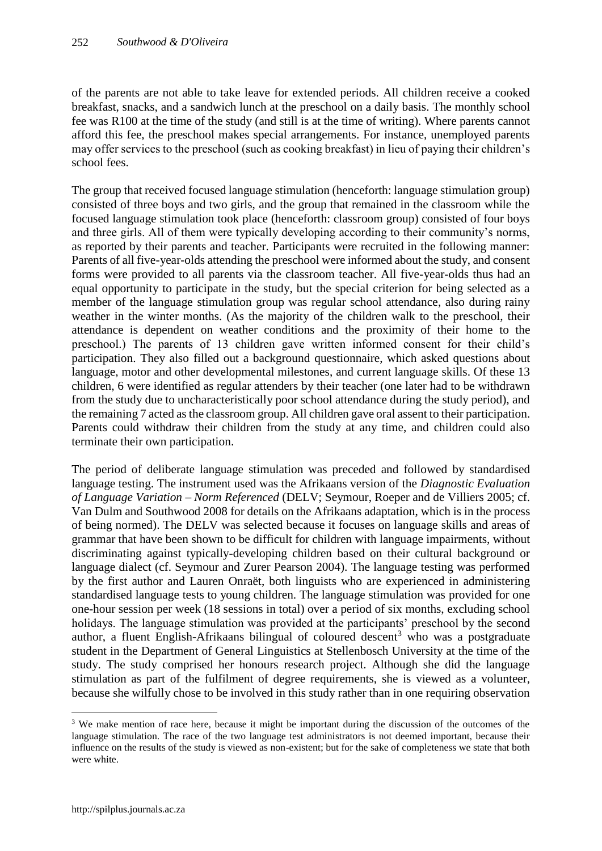of the parents are not able to take leave for extended periods. All children receive a cooked breakfast, snacks, and a sandwich lunch at the preschool on a daily basis. The monthly school fee was R100 at the time of the study (and still is at the time of writing). Where parents cannot afford this fee, the preschool makes special arrangements. For instance, unemployed parents may offer services to the preschool (such as cooking breakfast) in lieu of paying their children's school fees.

The group that received focused language stimulation (henceforth: language stimulation group) consisted of three boys and two girls, and the group that remained in the classroom while the focused language stimulation took place (henceforth: classroom group) consisted of four boys and three girls. All of them were typically developing according to their community's norms, as reported by their parents and teacher. Participants were recruited in the following manner: Parents of all five-year-olds attending the preschool were informed about the study, and consent forms were provided to all parents via the classroom teacher. All five-year-olds thus had an equal opportunity to participate in the study, but the special criterion for being selected as a member of the language stimulation group was regular school attendance, also during rainy weather in the winter months. (As the majority of the children walk to the preschool, their attendance is dependent on weather conditions and the proximity of their home to the preschool.) The parents of 13 children gave written informed consent for their child's participation. They also filled out a background questionnaire, which asked questions about language, motor and other developmental milestones, and current language skills. Of these 13 children, 6 were identified as regular attenders by their teacher (one later had to be withdrawn from the study due to uncharacteristically poor school attendance during the study period), and the remaining 7 acted as the classroom group. All children gave oral assent to their participation. Parents could withdraw their children from the study at any time, and children could also terminate their own participation.

The period of deliberate language stimulation was preceded and followed by standardised language testing. The instrument used was the Afrikaans version of the *Diagnostic Evaluation of Language Variation – Norm Referenced* (DELV; Seymour, Roeper and de Villiers 2005; cf. Van Dulm and Southwood 2008 for details on the Afrikaans adaptation, which is in the process of being normed). The DELV was selected because it focuses on language skills and areas of grammar that have been shown to be difficult for children with language impairments, without discriminating against typically-developing children based on their cultural background or language dialect (cf. Seymour and Zurer Pearson 2004). The language testing was performed by the first author and Lauren Onraët, both linguists who are experienced in administering standardised language tests to young children. The language stimulation was provided for one one-hour session per week (18 sessions in total) over a period of six months, excluding school holidays. The language stimulation was provided at the participants' preschool by the second author, a fluent English-Afrikaans bilingual of coloured descent<sup>3</sup> who was a postgraduate student in the Department of General Linguistics at Stellenbosch University at the time of the study. The study comprised her honours research project. Although she did the language stimulation as part of the fulfilment of degree requirements, she is viewed as a volunteer, because she wilfully chose to be involved in this study rather than in one requiring observation

 $\overline{a}$ 

<sup>&</sup>lt;sup>3</sup> We make mention of race here, because it might be important during the discussion of the outcomes of the language stimulation. The race of the two language test administrators is not deemed important, because their influence on the results of the study is viewed as non-existent; but for the sake of completeness we state that both were white.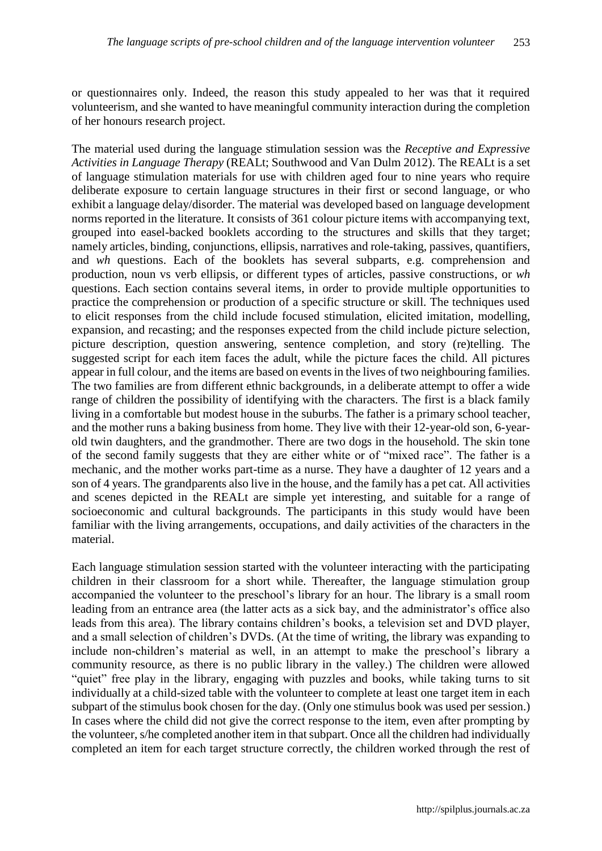or questionnaires only. Indeed, the reason this study appealed to her was that it required volunteerism, and she wanted to have meaningful community interaction during the completion of her honours research project.

The material used during the language stimulation session was the *Receptive and Expressive Activities in Language Therapy* (REALt; Southwood and Van Dulm 2012). The REALt is a set of language stimulation materials for use with children aged four to nine years who require deliberate exposure to certain language structures in their first or second language, or who exhibit a language delay/disorder. The material was developed based on language development norms reported in the literature. It consists of 361 colour picture items with accompanying text, grouped into easel-backed booklets according to the structures and skills that they target; namely articles, binding, conjunctions, ellipsis, narratives and role-taking, passives, quantifiers, and *wh* questions. Each of the booklets has several subparts, e.g. comprehension and production, noun vs verb ellipsis, or different types of articles, passive constructions, or *wh* questions. Each section contains several items, in order to provide multiple opportunities to practice the comprehension or production of a specific structure or skill. The techniques used to elicit responses from the child include focused stimulation, elicited imitation, modelling, expansion, and recasting; and the responses expected from the child include picture selection, picture description, question answering, sentence completion, and story (re)telling. The suggested script for each item faces the adult, while the picture faces the child. All pictures appear in full colour, and the items are based on events in the lives of two neighbouring families. The two families are from different ethnic backgrounds, in a deliberate attempt to offer a wide range of children the possibility of identifying with the characters. The first is a black family living in a comfortable but modest house in the suburbs. The father is a primary school teacher, and the mother runs a baking business from home. They live with their 12-year-old son, 6-yearold twin daughters, and the grandmother. There are two dogs in the household. The skin tone of the second family suggests that they are either white or of "mixed race". The father is a mechanic, and the mother works part-time as a nurse. They have a daughter of 12 years and a son of 4 years. The grandparents also live in the house, and the family has a pet cat. All activities and scenes depicted in the REALt are simple yet interesting, and suitable for a range of socioeconomic and cultural backgrounds. The participants in this study would have been familiar with the living arrangements, occupations, and daily activities of the characters in the material.

Each language stimulation session started with the volunteer interacting with the participating children in their classroom for a short while. Thereafter, the language stimulation group accompanied the volunteer to the preschool's library for an hour. The library is a small room leading from an entrance area (the latter acts as a sick bay, and the administrator's office also leads from this area). The library contains children's books, a television set and DVD player, and a small selection of children's DVDs. (At the time of writing, the library was expanding to include non-children's material as well, in an attempt to make the preschool's library a community resource, as there is no public library in the valley.) The children were allowed "quiet" free play in the library, engaging with puzzles and books, while taking turns to sit individually at a child-sized table with the volunteer to complete at least one target item in each subpart of the stimulus book chosen for the day. (Only one stimulus book was used per session.) In cases where the child did not give the correct response to the item, even after prompting by the volunteer, s/he completed another item in that subpart. Once all the children had individually completed an item for each target structure correctly, the children worked through the rest of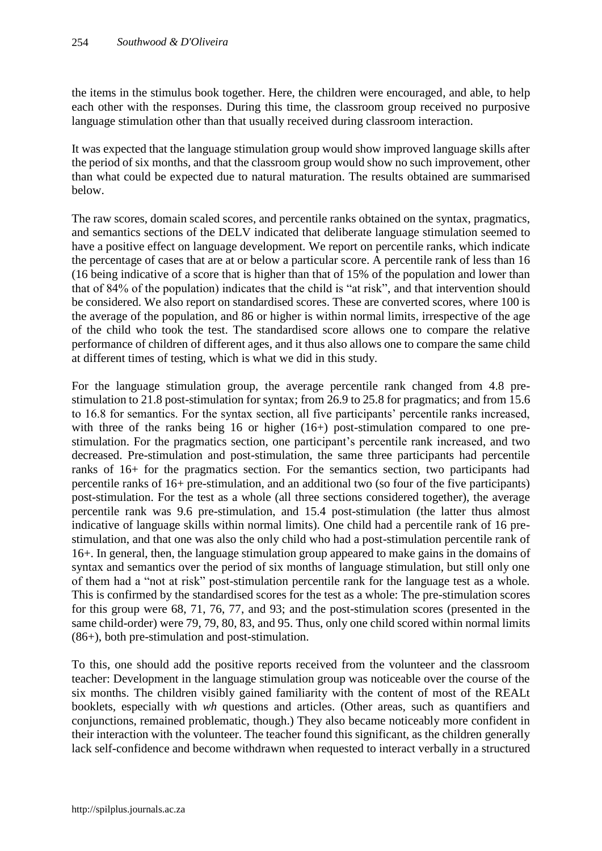the items in the stimulus book together. Here, the children were encouraged, and able, to help each other with the responses. During this time, the classroom group received no purposive language stimulation other than that usually received during classroom interaction.

It was expected that the language stimulation group would show improved language skills after the period of six months, and that the classroom group would show no such improvement, other than what could be expected due to natural maturation. The results obtained are summarised below.

The raw scores, domain scaled scores, and percentile ranks obtained on the syntax, pragmatics, and semantics sections of the DELV indicated that deliberate language stimulation seemed to have a positive effect on language development. We report on percentile ranks, which indicate the percentage of cases that are at or below a particular score. A percentile rank of less than 16 (16 being indicative of a score that is higher than that of 15% of the population and lower than that of 84% of the population) indicates that the child is "at risk", and that intervention should be considered. We also report on standardised scores. These are converted scores, where 100 is the average of the population, and 86 or higher is within normal limits, irrespective of the age of the child who took the test. The standardised score allows one to compare the relative performance of children of different ages, and it thus also allows one to compare the same child at different times of testing, which is what we did in this study.

For the language stimulation group, the average percentile rank changed from 4.8 prestimulation to 21.8 post-stimulation for syntax; from 26.9 to 25.8 for pragmatics; and from 15.6 to 16.8 for semantics. For the syntax section, all five participants' percentile ranks increased, with three of the ranks being 16 or higher (16+) post-stimulation compared to one prestimulation. For the pragmatics section, one participant's percentile rank increased, and two decreased. Pre-stimulation and post-stimulation, the same three participants had percentile ranks of 16+ for the pragmatics section. For the semantics section, two participants had percentile ranks of 16+ pre-stimulation, and an additional two (so four of the five participants) post-stimulation. For the test as a whole (all three sections considered together), the average percentile rank was 9.6 pre-stimulation, and 15.4 post-stimulation (the latter thus almost indicative of language skills within normal limits). One child had a percentile rank of 16 prestimulation, and that one was also the only child who had a post-stimulation percentile rank of 16+. In general, then, the language stimulation group appeared to make gains in the domains of syntax and semantics over the period of six months of language stimulation, but still only one of them had a "not at risk" post-stimulation percentile rank for the language test as a whole. This is confirmed by the standardised scores for the test as a whole: The pre-stimulation scores for this group were 68, 71, 76, 77, and 93; and the post-stimulation scores (presented in the same child-order) were 79, 79, 80, 83, and 95. Thus, only one child scored within normal limits (86+), both pre-stimulation and post-stimulation.

To this, one should add the positive reports received from the volunteer and the classroom teacher: Development in the language stimulation group was noticeable over the course of the six months. The children visibly gained familiarity with the content of most of the REALt booklets, especially with *wh* questions and articles. (Other areas, such as quantifiers and conjunctions, remained problematic, though.) They also became noticeably more confident in their interaction with the volunteer. The teacher found this significant, as the children generally lack self-confidence and become withdrawn when requested to interact verbally in a structured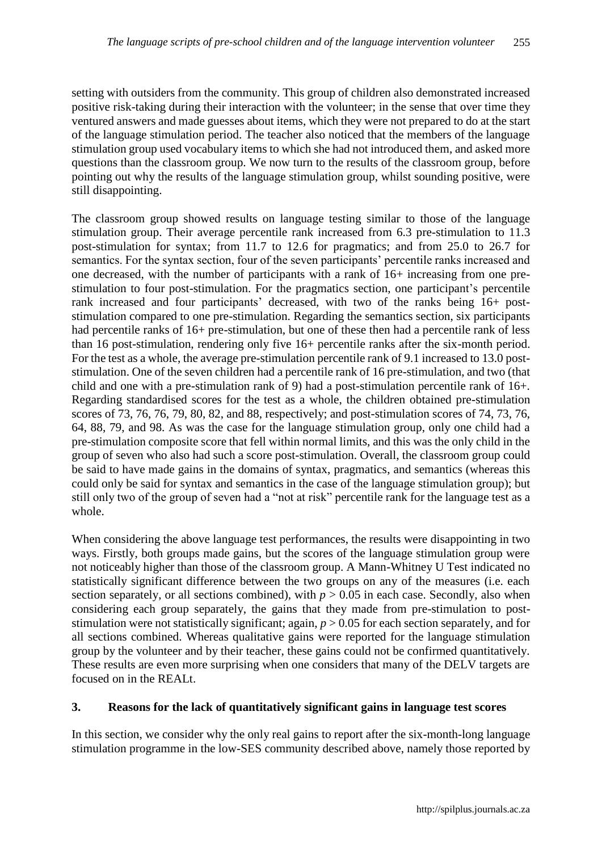setting with outsiders from the community. This group of children also demonstrated increased positive risk-taking during their interaction with the volunteer; in the sense that over time they ventured answers and made guesses about items, which they were not prepared to do at the start of the language stimulation period. The teacher also noticed that the members of the language stimulation group used vocabulary items to which she had not introduced them, and asked more questions than the classroom group. We now turn to the results of the classroom group, before pointing out why the results of the language stimulation group, whilst sounding positive, were still disappointing.

The classroom group showed results on language testing similar to those of the language stimulation group. Their average percentile rank increased from 6.3 pre-stimulation to 11.3 post-stimulation for syntax; from 11.7 to 12.6 for pragmatics; and from 25.0 to 26.7 for semantics. For the syntax section, four of the seven participants' percentile ranks increased and one decreased, with the number of participants with a rank of 16+ increasing from one prestimulation to four post-stimulation. For the pragmatics section, one participant's percentile rank increased and four participants' decreased, with two of the ranks being 16+ poststimulation compared to one pre-stimulation. Regarding the semantics section, six participants had percentile ranks of 16+ pre-stimulation, but one of these then had a percentile rank of less than 16 post-stimulation, rendering only five 16+ percentile ranks after the six-month period. For the test as a whole, the average pre-stimulation percentile rank of 9.1 increased to 13.0 poststimulation. One of the seven children had a percentile rank of 16 pre-stimulation, and two (that child and one with a pre-stimulation rank of 9) had a post-stimulation percentile rank of 16+. Regarding standardised scores for the test as a whole, the children obtained pre-stimulation scores of 73, 76, 76, 79, 80, 82, and 88, respectively; and post-stimulation scores of 74, 73, 76, 64, 88, 79, and 98. As was the case for the language stimulation group, only one child had a pre-stimulation composite score that fell within normal limits, and this was the only child in the group of seven who also had such a score post-stimulation. Overall, the classroom group could be said to have made gains in the domains of syntax, pragmatics, and semantics (whereas this could only be said for syntax and semantics in the case of the language stimulation group); but still only two of the group of seven had a "not at risk" percentile rank for the language test as a whole.

When considering the above language test performances, the results were disappointing in two ways. Firstly, both groups made gains, but the scores of the language stimulation group were not noticeably higher than those of the classroom group. A Mann-Whitney U Test indicated no statistically significant difference between the two groups on any of the measures (i.e. each section separately, or all sections combined), with  $p > 0.05$  in each case. Secondly, also when considering each group separately, the gains that they made from pre-stimulation to poststimulation were not statistically significant; again, *p* > 0.05 for each section separately, and for all sections combined. Whereas qualitative gains were reported for the language stimulation group by the volunteer and by their teacher, these gains could not be confirmed quantitatively. These results are even more surprising when one considers that many of the DELV targets are focused on in the REALt.

# **3. Reasons for the lack of quantitatively significant gains in language test scores**

In this section, we consider why the only real gains to report after the six-month-long language stimulation programme in the low-SES community described above, namely those reported by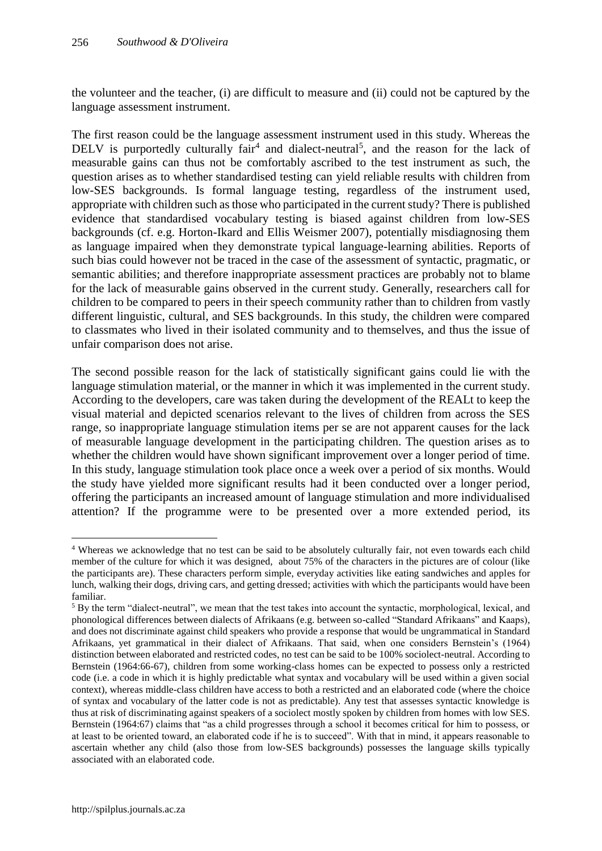the volunteer and the teacher, (i) are difficult to measure and (ii) could not be captured by the language assessment instrument.

The first reason could be the language assessment instrument used in this study. Whereas the DELV is purportedly culturally  $fair<sup>4</sup>$  and dialect-neutral<sup>5</sup>, and the reason for the lack of measurable gains can thus not be comfortably ascribed to the test instrument as such, the question arises as to whether standardised testing can yield reliable results with children from low-SES backgrounds. Is formal language testing, regardless of the instrument used, appropriate with children such as those who participated in the current study? There is published evidence that standardised vocabulary testing is biased against children from low-SES backgrounds (cf. e.g. Horton-Ikard and Ellis Weismer 2007), potentially misdiagnosing them as language impaired when they demonstrate typical language-learning abilities. Reports of such bias could however not be traced in the case of the assessment of syntactic, pragmatic, or semantic abilities; and therefore inappropriate assessment practices are probably not to blame for the lack of measurable gains observed in the current study. Generally, researchers call for children to be compared to peers in their speech community rather than to children from vastly different linguistic, cultural, and SES backgrounds. In this study, the children were compared to classmates who lived in their isolated community and to themselves, and thus the issue of unfair comparison does not arise.

The second possible reason for the lack of statistically significant gains could lie with the language stimulation material, or the manner in which it was implemented in the current study. According to the developers, care was taken during the development of the REALt to keep the visual material and depicted scenarios relevant to the lives of children from across the SES range, so inappropriate language stimulation items per se are not apparent causes for the lack of measurable language development in the participating children. The question arises as to whether the children would have shown significant improvement over a longer period of time. In this study, language stimulation took place once a week over a period of six months. Would the study have yielded more significant results had it been conducted over a longer period, offering the participants an increased amount of language stimulation and more individualised attention? If the programme were to be presented over a more extended period, its

 $\overline{a}$ 

<sup>4</sup> Whereas we acknowledge that no test can be said to be absolutely culturally fair, not even towards each child member of the culture for which it was designed, about 75% of the characters in the pictures are of colour (like the participants are). These characters perform simple, everyday activities like eating sandwiches and apples for lunch, walking their dogs, driving cars, and getting dressed; activities with which the participants would have been familiar.

<sup>&</sup>lt;sup>5</sup> By the term "dialect-neutral", we mean that the test takes into account the syntactic, morphological, lexical, and phonological differences between dialects of Afrikaans (e.g. between so-called "Standard Afrikaans" and Kaaps), and does not discriminate against child speakers who provide a response that would be ungrammatical in Standard Afrikaans, yet grammatical in their dialect of Afrikaans. That said, when one considers Bernstein's (1964) distinction between elaborated and restricted codes, no test can be said to be 100% sociolect-neutral. According to Bernstein (1964:66-67), children from some working-class homes can be expected to possess only a restricted code (i.e. a code in which it is highly predictable what syntax and vocabulary will be used within a given social context), whereas middle-class children have access to both a restricted and an elaborated code (where the choice of syntax and vocabulary of the latter code is not as predictable). Any test that assesses syntactic knowledge is thus at risk of discriminating against speakers of a sociolect mostly spoken by children from homes with low SES. Bernstein (1964:67) claims that "as a child progresses through a school it becomes critical for him to possess, or at least to be oriented toward, an elaborated code if he is to succeed". With that in mind, it appears reasonable to ascertain whether any child (also those from low-SES backgrounds) possesses the language skills typically associated with an elaborated code.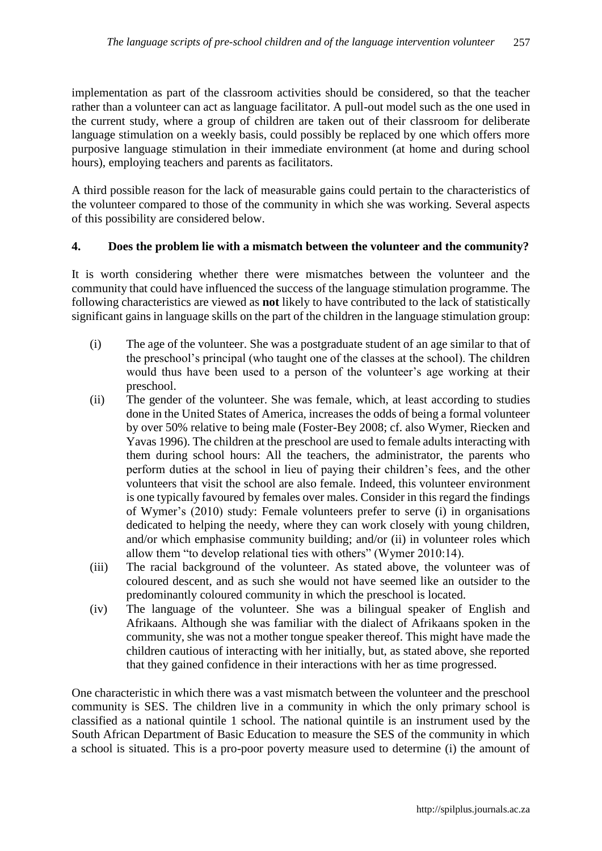implementation as part of the classroom activities should be considered, so that the teacher rather than a volunteer can act as language facilitator. A pull-out model such as the one used in the current study, where a group of children are taken out of their classroom for deliberate language stimulation on a weekly basis, could possibly be replaced by one which offers more purposive language stimulation in their immediate environment (at home and during school hours), employing teachers and parents as facilitators.

A third possible reason for the lack of measurable gains could pertain to the characteristics of the volunteer compared to those of the community in which she was working. Several aspects of this possibility are considered below.

#### **4. Does the problem lie with a mismatch between the volunteer and the community?**

It is worth considering whether there were mismatches between the volunteer and the community that could have influenced the success of the language stimulation programme. The following characteristics are viewed as **not** likely to have contributed to the lack of statistically significant gains in language skills on the part of the children in the language stimulation group:

- (i) The age of the volunteer. She was a postgraduate student of an age similar to that of the preschool's principal (who taught one of the classes at the school). The children would thus have been used to a person of the volunteer's age working at their preschool.
- (ii) The gender of the volunteer. She was female, which, at least according to studies done in the United States of America, increases the odds of being a formal volunteer by over 50% relative to being male (Foster-Bey 2008; cf. also Wymer, Riecken and Yavas 1996). The children at the preschool are used to female adults interacting with them during school hours: All the teachers, the administrator, the parents who perform duties at the school in lieu of paying their children's fees, and the other volunteers that visit the school are also female. Indeed, this volunteer environment is one typically favoured by females over males. Consider in this regard the findings of Wymer's (2010) study: Female volunteers prefer to serve (i) in organisations dedicated to helping the needy, where they can work closely with young children, and/or which emphasise community building; and/or (ii) in volunteer roles which allow them "to develop relational ties with others" (Wymer 2010:14).
- (iii) The racial background of the volunteer. As stated above, the volunteer was of coloured descent, and as such she would not have seemed like an outsider to the predominantly coloured community in which the preschool is located.
- (iv) The language of the volunteer. She was a bilingual speaker of English and Afrikaans. Although she was familiar with the dialect of Afrikaans spoken in the community, she was not a mother tongue speaker thereof. This might have made the children cautious of interacting with her initially, but, as stated above, she reported that they gained confidence in their interactions with her as time progressed.

One characteristic in which there was a vast mismatch between the volunteer and the preschool community is SES. The children live in a community in which the only primary school is classified as a national quintile 1 school. The national quintile is an instrument used by the South African Department of Basic Education to measure the SES of the community in which a school is situated. This is a pro-poor poverty measure used to determine (i) the amount of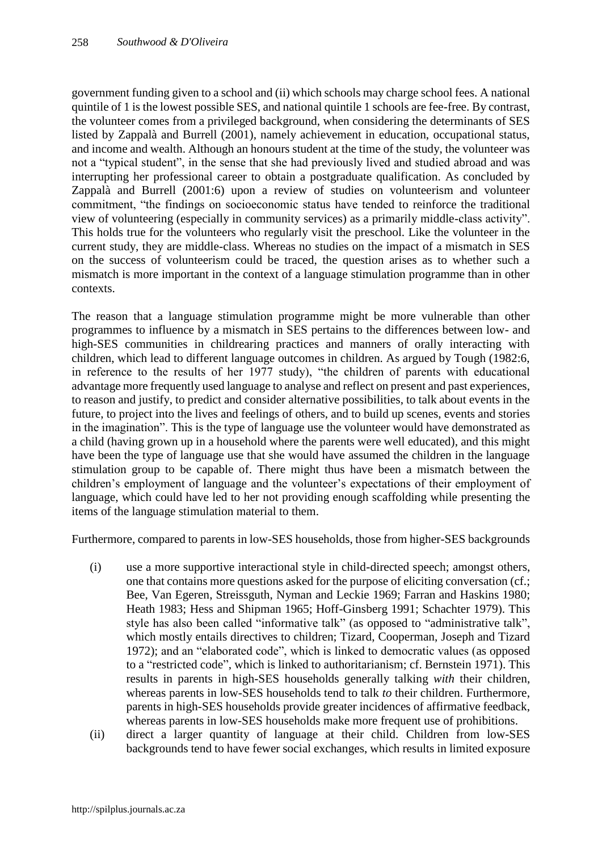government funding given to a school and (ii) which schools may charge school fees. A national quintile of 1 is the lowest possible SES, and national quintile 1 schools are fee-free. By contrast, the volunteer comes from a privileged background, when considering the determinants of SES listed by Zappalà and Burrell (2001), namely achievement in education, occupational status, and income and wealth. Although an honours student at the time of the study, the volunteer was not a "typical student", in the sense that she had previously lived and studied abroad and was interrupting her professional career to obtain a postgraduate qualification. As concluded by Zappalà and Burrell (2001:6) upon a review of studies on volunteerism and volunteer commitment, "the findings on socioeconomic status have tended to reinforce the traditional view of volunteering (especially in community services) as a primarily middle-class activity". This holds true for the volunteers who regularly visit the preschool. Like the volunteer in the current study, they are middle-class. Whereas no studies on the impact of a mismatch in SES on the success of volunteerism could be traced, the question arises as to whether such a mismatch is more important in the context of a language stimulation programme than in other contexts.

The reason that a language stimulation programme might be more vulnerable than other programmes to influence by a mismatch in SES pertains to the differences between low- and high-SES communities in childrearing practices and manners of orally interacting with children, which lead to different language outcomes in children. As argued by Tough (1982:6, in reference to the results of her 1977 study), "the children of parents with educational advantage more frequently used language to analyse and reflect on present and past experiences, to reason and justify, to predict and consider alternative possibilities, to talk about events in the future, to project into the lives and feelings of others, and to build up scenes, events and stories in the imagination". This is the type of language use the volunteer would have demonstrated as a child (having grown up in a household where the parents were well educated), and this might have been the type of language use that she would have assumed the children in the language stimulation group to be capable of. There might thus have been a mismatch between the children's employment of language and the volunteer's expectations of their employment of language, which could have led to her not providing enough scaffolding while presenting the items of the language stimulation material to them.

Furthermore, compared to parents in low-SES households, those from higher-SES backgrounds

- (i) use a more supportive interactional style in child-directed speech; amongst others, one that contains more questions asked for the purpose of eliciting conversation (cf.; Bee, Van Egeren, Streissguth, Nyman and Leckie 1969; Farran and Haskins 1980; Heath 1983; Hess and Shipman 1965; Hoff-Ginsberg 1991; Schachter 1979). This style has also been called "informative talk" (as opposed to "administrative talk", which mostly entails directives to children; Tizard, Cooperman, Joseph and Tizard 1972); and an "elaborated code", which is linked to democratic values (as opposed to a "restricted code", which is linked to authoritarianism; cf. Bernstein 1971). This results in parents in high-SES households generally talking *with* their children, whereas parents in low-SES households tend to talk *to* their children. Furthermore, parents in high-SES households provide greater incidences of affirmative feedback, whereas parents in low-SES households make more frequent use of prohibitions.
- (ii) direct a larger quantity of language at their child. Children from low-SES backgrounds tend to have fewer social exchanges, which results in limited exposure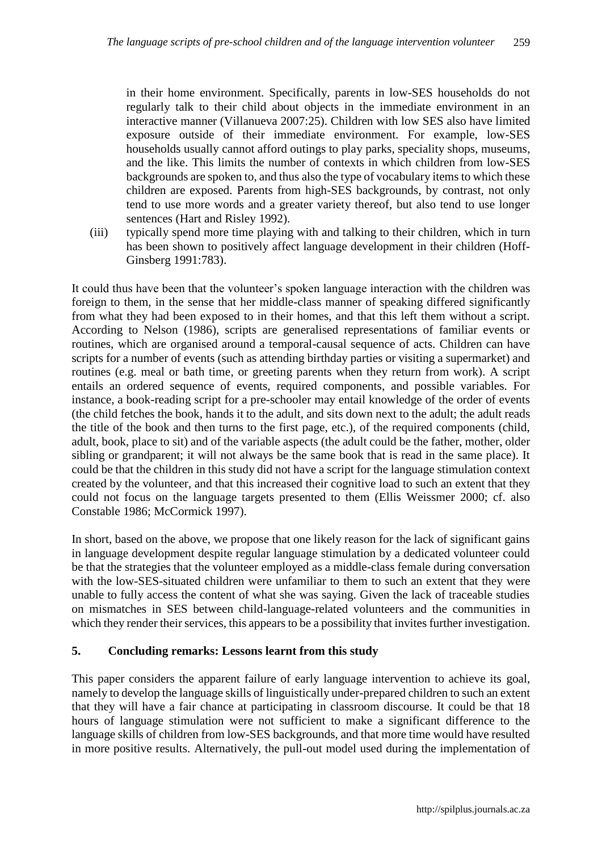in their home environment. Specifically, parents in low-SES households do not regularly talk to their child about objects in the immediate environment in an interactive manner (Villanueva 2007:25). Children with low SES also have limited exposure outside of their immediate environment. For example, low-SES households usually cannot afford outings to play parks, speciality shops, museums, and the like. This limits the number of contexts in which children from low-SES backgrounds are spoken to, and thus also the type of vocabulary items to which these children are exposed. Parents from high-SES backgrounds, by contrast, not only tend to use more words and a greater variety thereof, but also tend to use longer sentences (Hart and Risley 1992).

(iii) typically spend more time playing with and talking to their children, which in turn has been shown to positively affect language development in their children (Hoff-Ginsberg 1991:783).

It could thus have been that the volunteer's spoken language interaction with the children was foreign to them, in the sense that her middle-class manner of speaking differed significantly from what they had been exposed to in their homes, and that this left them without a script. According to Nelson (1986), scripts are generalised representations of familiar events or routines, which are organised around a temporal-causal sequence of acts. Children can have scripts for a number of events (such as attending birthday parties or visiting a supermarket) and routines (e.g. meal or bath time, or greeting parents when they return from work). A script entails an ordered sequence of events, required components, and possible variables. For instance, a book-reading script for a pre-schooler may entail knowledge of the order of events (the child fetches the book, hands it to the adult, and sits down next to the adult; the adult reads the title of the book and then turns to the first page, etc.), of the required components (child, adult, book, place to sit) and of the variable aspects (the adult could be the father, mother, older sibling or grandparent; it will not always be the same book that is read in the same place). It could be that the children in this study did not have a script for the language stimulation context created by the volunteer, and that this increased their cognitive load to such an extent that they could not focus on the language targets presented to them (Ellis Weissmer 2000; cf. also Constable 1986; McCormick 1997).

In short, based on the above, we propose that one likely reason for the lack of significant gains in language development despite regular language stimulation by a dedicated volunteer could be that the strategies that the volunteer employed as a middle-class female during conversation with the low-SES-situated children were unfamiliar to them to such an extent that they were unable to fully access the content of what she was saying. Given the lack of traceable studies on mismatches in SES between child-language-related volunteers and the communities in which they render their services, this appears to be a possibility that invites further investigation.

# **5. Concluding remarks: Lessons learnt from this study**

This paper considers the apparent failure of early language intervention to achieve its goal, namely to develop the language skills of linguistically under-prepared children to such an extent that they will have a fair chance at participating in classroom discourse. It could be that 18 hours of language stimulation were not sufficient to make a significant difference to the language skills of children from low-SES backgrounds, and that more time would have resulted in more positive results. Alternatively, the pull-out model used during the implementation of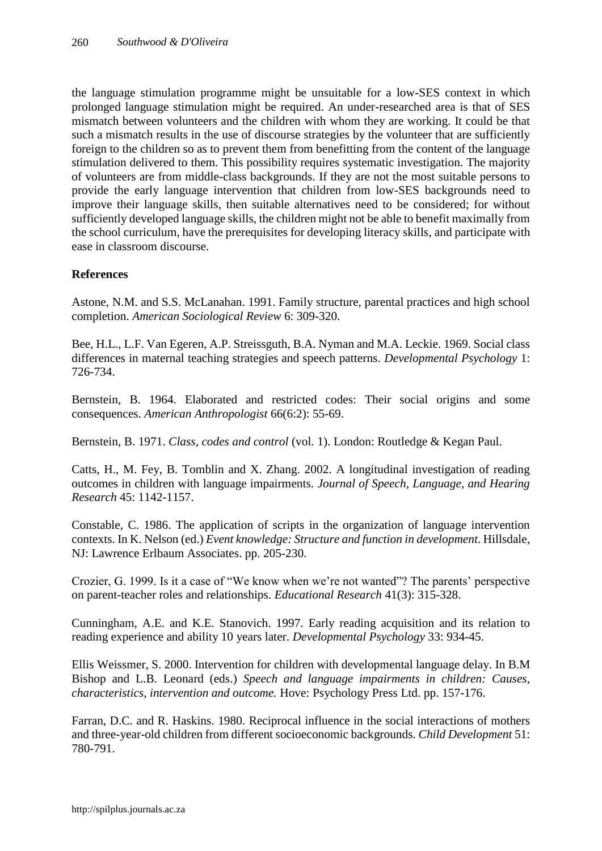the language stimulation programme might be unsuitable for a low-SES context in which prolonged language stimulation might be required. An under-researched area is that of SES mismatch between volunteers and the children with whom they are working. It could be that such a mismatch results in the use of discourse strategies by the volunteer that are sufficiently foreign to the children so as to prevent them from benefitting from the content of the language stimulation delivered to them. This possibility requires systematic investigation. The majority of volunteers are from middle-class backgrounds. If they are not the most suitable persons to provide the early language intervention that children from low-SES backgrounds need to improve their language skills, then suitable alternatives need to be considered; for without sufficiently developed language skills, the children might not be able to benefit maximally from the school curriculum, have the prerequisites for developing literacy skills, and participate with ease in classroom discourse.

# **References**

Astone, N.M. and S.S. McLanahan. 1991. Family structure, parental practices and high school completion. *American Sociological Review* 6: 309-320.

Bee, H.L., L.F. Van Egeren, A.P. Streissguth, B.A. Nyman and M.A. Leckie. 1969. Social class differences in maternal teaching strategies and speech patterns. *Developmental Psychology* 1: 726-734.

Bernstein, B. 1964. Elaborated and restricted codes: Their social origins and some consequences. *American Anthropologist* 66(6:2): 55-69.

Bernstein, B. 1971. *Class, codes and control* (vol. 1). London: Routledge & Kegan Paul.

Catts, H., M. Fey, B. Tomblin and X. Zhang. 2002. A longitudinal investigation of reading outcomes in children with language impairments. *Journal of Speech, Language, and Hearing Research* 45: 1142-1157.

Constable, C. 1986. The application of scripts in the organization of language intervention contexts. In K. Nelson (ed.) *Event knowledge: Structure and function in development*. Hillsdale, NJ: Lawrence Erlbaum Associates. pp. 205-230.

Crozier, G. 1999. Is it a case of "We know when we're not wanted"? The parents' perspective on parent-teacher roles and relationships. *Educational Research* 41(3): 315-328.

Cunningham, A.E. and K.E. Stanovich. 1997. Early reading acquisition and its relation to reading experience and ability 10 years later. *Developmental Psychology* 33: 934-45.

Ellis Weissmer, S. 2000. Intervention for children with developmental language delay. In B.M Bishop and L.B. Leonard (eds.) *Speech and language impairments in children: Causes, characteristics, intervention and outcome.* Hove: Psychology Press Ltd. pp. 157-176.

Farran, D.C. and R. Haskins. 1980. Reciprocal influence in the social interactions of mothers and three-year-old children from different socioeconomic backgrounds. *Child Development* 51: 780-791.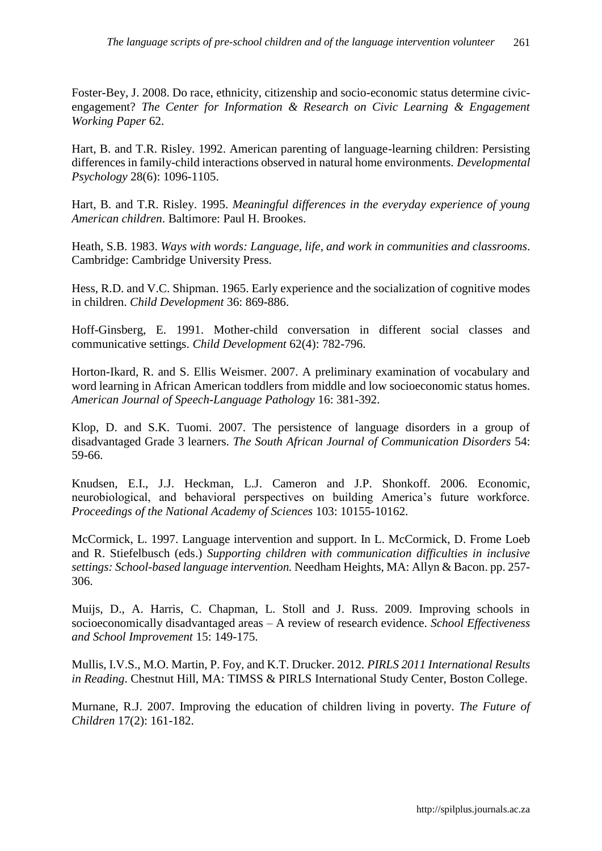Foster-Bey, J. 2008. Do race, ethnicity, citizenship and socio-economic status determine civicengagement? *The Center for Information & Research on Civic Learning & Engagement Working Paper* 62.

Hart, B. and T.R. Risley. 1992. American parenting of language-learning children: Persisting differences in family-child interactions observed in natural home environments. *Developmental Psychology* 28(6): 1096-1105.

Hart, B. and T.R. Risley. 1995. *Meaningful differences in the everyday experience of young American children*. Baltimore: Paul H. Brookes.

Heath, S.B. 1983. *Ways with words: Language, life, and work in communities and classrooms*. Cambridge: Cambridge University Press.

Hess, R.D. and V.C. Shipman. 1965. Early experience and the socialization of cognitive modes in children. *Child Development* 36: 869-886.

Hoff-Ginsberg, E. 1991. Mother-child conversation in different social classes and communicative settings. *Child Development* 62(4): 782-796.

Horton-Ikard, R. and S. Ellis Weismer. 2007. A preliminary examination of vocabulary and word learning in African American toddlers from middle and low socioeconomic status homes. *American Journal of Speech-Language Pathology* 16: 381-392.

Klop, D. and S.K. Tuomi. 2007. The persistence of language disorders in a group of disadvantaged Grade 3 learners. *The South African Journal of Communication Disorders* 54: 59-66.

Knudsen, E.I., J.J. Heckman, L.J. Cameron and J.P. Shonkoff. 2006. Economic, neurobiological, and behavioral perspectives on building America's future workforce. *Proceedings of the National Academy of Sciences* 103: 10155-10162.

McCormick, L. 1997. Language intervention and support. In L. McCormick, D. Frome Loeb and R. Stiefelbusch (eds.) *Supporting children with communication difficulties in inclusive settings: School-based language intervention.* Needham Heights, MA: Allyn & Bacon. pp. 257- 306.

Muijs, D., A. Harris, C. Chapman, L. Stoll and J. Russ. 2009. Improving schools in socioeconomically disadvantaged areas – A review of research evidence. *School Effectiveness and School Improvement* 15: 149-175.

Mullis, I.V.S., M.O. Martin, P. Foy, and K.T. Drucker. 2012. *PIRLS 2011 International Results in Reading*. Chestnut Hill, MA: TIMSS & PIRLS International Study Center, Boston College.

Murnane, R.J. 2007. Improving the education of children living in poverty. *The Future of Children* 17(2): 161-182.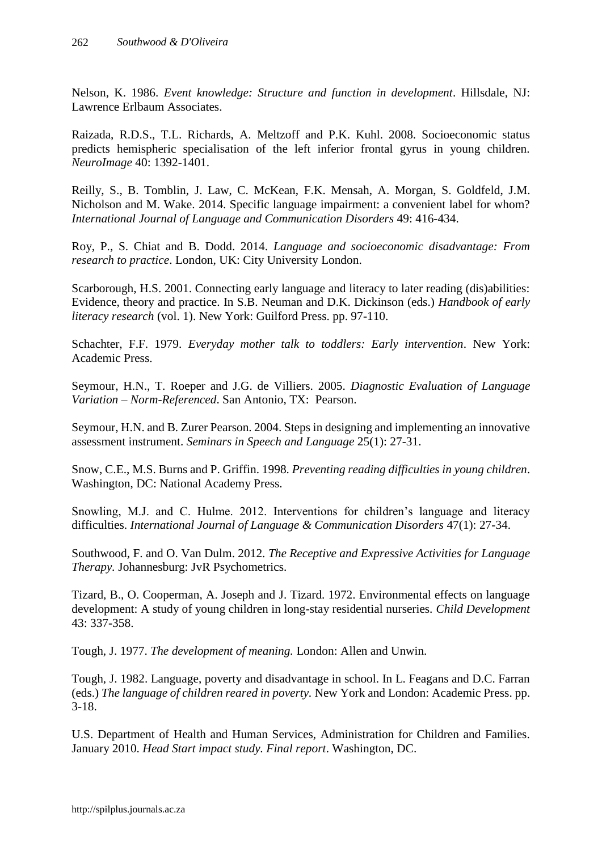Nelson, K. 1986. *Event knowledge: Structure and function in development*. Hillsdale, NJ: Lawrence Erlbaum Associates.

Raizada, R.D.S., T.L. Richards, A. Meltzoff and P.K. Kuhl. 2008. Socioeconomic status predicts hemispheric specialisation of the left inferior frontal gyrus in young children. *NeuroImage* 40: 1392-1401.

Reilly, S., B. Tomblin, J. Law, C. McKean, F.K. Mensah, A. Morgan, S. Goldfeld, J.M. Nicholson and M. Wake. 2014. Specific language impairment: a convenient label for whom? *International Journal of Language and Communication Disorders* 49: 416-434.

Roy, P., S. Chiat and B. Dodd. 2014. *Language and socioeconomic disadvantage: From research to practice*. London, UK: City University London.

Scarborough, H.S. 2001. Connecting early language and literacy to later reading (dis)abilities: Evidence, theory and practice. In S.B. Neuman and D.K. Dickinson (eds.) *Handbook of early literacy research* (vol. 1). New York: Guilford Press. pp. 97-110.

Schachter, F.F. 1979. *Everyday mother talk to toddlers: Early intervention*. New York: Academic Press.

Seymour, H.N., T. Roeper and J.G. de Villiers. 2005. *Diagnostic Evaluation of Language Variation – Norm-Referenced*. San Antonio, TX: Pearson.

Seymour, H.N. and B. Zurer Pearson. 2004. Steps in designing and implementing an innovative assessment instrument. *Seminars in Speech and Language* 25(1): 27-31.

Snow, C.E., M.S. Burns and P. Griffin. 1998. *Preventing reading difficulties in young children*. Washington, DC: National Academy Press.

Snowling, M.J. and C. Hulme. 2012. Interventions for children's language and literacy difficulties. *International Journal of Language & Communication Disorders* 47(1): 27-34.

Southwood, F. and O. Van Dulm. 2012. *The Receptive and Expressive Activities for Language Therapy.* Johannesburg: JvR Psychometrics.

Tizard, B., O. Cooperman, A. Joseph and J. Tizard. 1972. Environmental effects on language development: A study of young children in long-stay residential nurseries. *Child Development*  43: 337-358.

Tough, J. 1977. *The development of meaning.* London: Allen and Unwin.

Tough, J. 1982. Language, poverty and disadvantage in school. In L. Feagans and D.C. Farran (eds.) *The language of children reared in poverty.* New York and London: Academic Press. pp. 3-18.

U.S. Department of Health and Human Services, Administration for Children and Families. January 2010. *Head Start impact study. Final report*. Washington, DC.